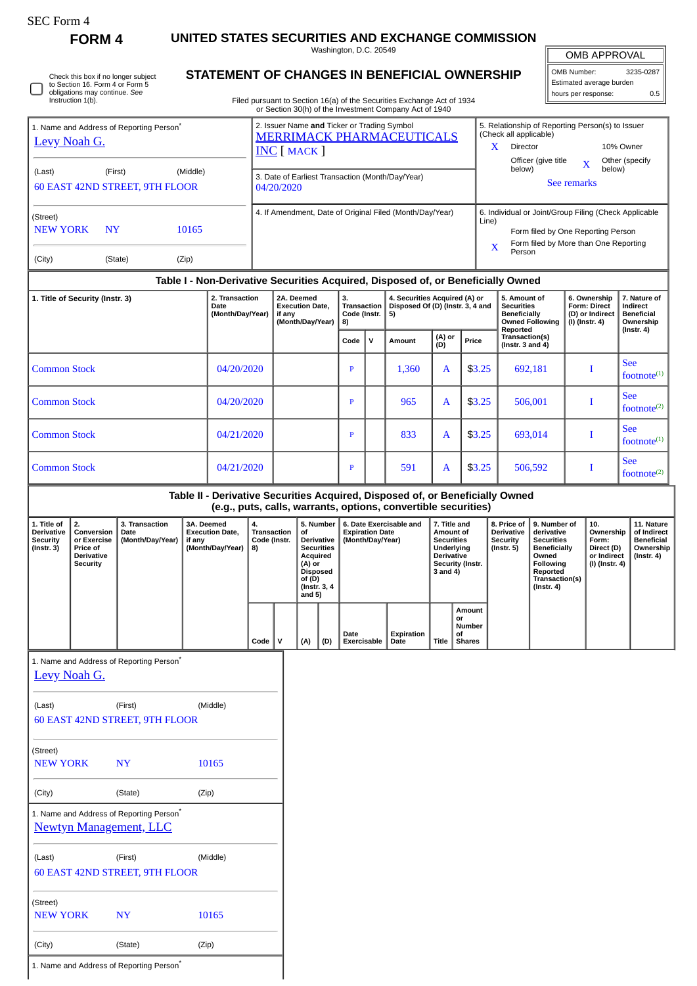**FORM 4 UNITED STATES SECURITIES AND EXCHANGE COMMISSION** Washington, D.C. 20549

OMB APPROVAL

| OMB Number:<br>3235-0287 |     |  |  |  |  |  |
|--------------------------|-----|--|--|--|--|--|
| Estimated average burden |     |  |  |  |  |  |
| hours per response:      | 0.5 |  |  |  |  |  |

|  | Check this box if no longer subject<br>to Section 16. Form 4 or Form 5<br>obligations may continue. See<br>Instruction 1(b). |
|--|------------------------------------------------------------------------------------------------------------------------------|
|--|------------------------------------------------------------------------------------------------------------------------------|

## **STATEMENT OF CHANGES IN BENEFICIAL OWNERSHIP**

Filed pursuant to Section 16(a) of the Securities Exchange Act of 1934 or Section 30(h) of the Investment Company Act of 1940

| 1. Name and Address of Reporting Person <sup>7</sup><br>Levy Noah G.<br>(Middle)<br>(Last)<br>(First) |                                                                                     |                                                                           |                                                                                                    |                                                | 2. Issuer Name and Ticker or Trading Symbol<br><b>MERRIMACK PHARMACEUTICALS</b><br><b>INC</b> [ MACK ]<br>3. Date of Earliest Transaction (Month/Day/Year) |                                    |                                                                                              |                                                                       |                                        |                                                                |                                                                                                                   | 5. Relationship of Reporting Person(s) to Issuer<br>(Check all applicable)<br>$\mathbf{X}$<br>Director<br>10% Owner<br>Officer (give title<br>Other (specify<br>X<br>below)<br>below)<br>See remarks |                                                                                           |              |                                                                                                                                                |                                                                          |                                            |                                                                                 |
|-------------------------------------------------------------------------------------------------------|-------------------------------------------------------------------------------------|---------------------------------------------------------------------------|----------------------------------------------------------------------------------------------------|------------------------------------------------|------------------------------------------------------------------------------------------------------------------------------------------------------------|------------------------------------|----------------------------------------------------------------------------------------------|-----------------------------------------------------------------------|----------------------------------------|----------------------------------------------------------------|-------------------------------------------------------------------------------------------------------------------|------------------------------------------------------------------------------------------------------------------------------------------------------------------------------------------------------|-------------------------------------------------------------------------------------------|--------------|------------------------------------------------------------------------------------------------------------------------------------------------|--------------------------------------------------------------------------|--------------------------------------------|---------------------------------------------------------------------------------|
| <b>60 EAST 42ND STREET, 9TH FLOOR</b><br>(Street)                                                     |                                                                                     |                                                                           |                                                                                                    |                                                | 04/20/2020<br>4. If Amendment, Date of Original Filed (Month/Day/Year)                                                                                     |                                    |                                                                                              |                                                                       |                                        |                                                                |                                                                                                                   | 6. Individual or Joint/Group Filing (Check Applicable                                                                                                                                                |                                                                                           |              |                                                                                                                                                |                                                                          |                                            |                                                                                 |
| <b>NEW YORK</b>                                                                                       | <b>NY</b>                                                                           |                                                                           | 10165                                                                                              |                                                |                                                                                                                                                            |                                    |                                                                                              |                                                                       |                                        |                                                                |                                                                                                                   |                                                                                                                                                                                                      | Line)<br>Form filed by One Reporting Person<br>Form filed by More than One Reporting<br>X |              |                                                                                                                                                |                                                                          |                                            |                                                                                 |
| (City)                                                                                                |                                                                                     | (State)                                                                   | (Zip)                                                                                              |                                                |                                                                                                                                                            |                                    |                                                                                              |                                                                       |                                        |                                                                |                                                                                                                   |                                                                                                                                                                                                      |                                                                                           | Person       |                                                                                                                                                |                                                                          |                                            |                                                                                 |
|                                                                                                       |                                                                                     |                                                                           | Table I - Non-Derivative Securities Acquired, Disposed of, or Beneficially Owned<br>2. Transaction |                                                |                                                                                                                                                            | 2A. Deemed                         |                                                                                              | 3.                                                                    |                                        | 4. Securities Acquired (A) or                                  |                                                                                                                   |                                                                                                                                                                                                      |                                                                                           | 5. Amount of |                                                                                                                                                |                                                                          | 6. Ownership                               | 7. Nature of                                                                    |
|                                                                                                       | 1. Title of Security (Instr. 3)                                                     |                                                                           |                                                                                                    | (Month/Day/Year)                               | <b>Execution Date,</b><br>if any<br>(Month/Day/Year)                                                                                                       |                                    | Transaction<br>Code (Instr.<br>8)                                                            |                                                                       | Disposed Of (D) (Instr. 3, 4 and<br>5) |                                                                |                                                                                                                   |                                                                                                                                                                                                      | <b>Securities</b><br><b>Beneficially</b><br><b>Owned Following</b>                        |              | <b>Form: Direct</b><br>(D) or Indirect<br>(I) (Instr. 4)                                                                                       |                                                                          | Indirect<br><b>Beneficial</b><br>Ownership |                                                                                 |
|                                                                                                       |                                                                                     |                                                                           |                                                                                                    |                                                |                                                                                                                                                            |                                    |                                                                                              | Code                                                                  | v                                      | Amount                                                         | (A) or<br>(D)                                                                                                     |                                                                                                                                                                                                      | Reported<br>Transaction(s)<br>Price<br>(Instr. $3$ and $4$ )                              |              |                                                                                                                                                |                                                                          |                                            | (Instr. 4)                                                                      |
| <b>Common Stock</b>                                                                                   |                                                                                     |                                                                           | 04/20/2020                                                                                         |                                                |                                                                                                                                                            |                                    |                                                                                              | $\mathbf{P}$                                                          |                                        | 1,360                                                          | A                                                                                                                 | \$3.25                                                                                                                                                                                               | 692,181                                                                                   |              |                                                                                                                                                | I                                                                        |                                            | <b>See</b><br>footnot $e^{(1)}$                                                 |
|                                                                                                       | <b>Common Stock</b>                                                                 |                                                                           |                                                                                                    | 04/20/2020                                     |                                                                                                                                                            |                                    |                                                                                              | P                                                                     |                                        | 965                                                            | A                                                                                                                 | \$3.25                                                                                                                                                                                               |                                                                                           | 506,001      |                                                                                                                                                | I                                                                        |                                            | <b>See</b><br>footnote $^{(2)}$                                                 |
|                                                                                                       | <b>Common Stock</b>                                                                 |                                                                           |                                                                                                    | 04/21/2020                                     |                                                                                                                                                            |                                    |                                                                                              | P                                                                     |                                        | 833                                                            | A                                                                                                                 |                                                                                                                                                                                                      | \$3.25                                                                                    | 693,014      |                                                                                                                                                | I                                                                        |                                            | <b>See</b><br>footnote $(1)$                                                    |
|                                                                                                       | <b>Common Stock</b><br>04/21/2020                                                   |                                                                           |                                                                                                    |                                                |                                                                                                                                                            |                                    | $\mathbf{P}$                                                                                 |                                                                       | 591                                    | A                                                              |                                                                                                                   | \$3.25                                                                                                                                                                                               |                                                                                           | 506,592      |                                                                                                                                                | I                                                                        | <b>See</b><br>footnote <sup>(2)</sup>      |                                                                                 |
|                                                                                                       |                                                                                     |                                                                           | Table II - Derivative Securities Acquired, Disposed of, or Beneficially Owned                      |                                                |                                                                                                                                                            |                                    |                                                                                              |                                                                       |                                        | (e.g., puts, calls, warrants, options, convertible securities) |                                                                                                                   |                                                                                                                                                                                                      |                                                                                           |              |                                                                                                                                                |                                                                          |                                            |                                                                                 |
| 1. Title of<br><b>Derivative</b><br><b>Security</b><br>$($ Instr. 3 $)$                               | 2.<br>Conversion<br>or Exercise<br>Price of<br><b>Derivative</b><br><b>Security</b> | 3. Transaction<br>Date<br>(Month/Day/Year)                                | 3A. Deemed<br><b>Execution Date,</b><br>if any<br>(Month/Day/Year)                                 | 4.<br><b>Transaction</b><br>Code (Instr.<br>8) |                                                                                                                                                            | of<br>(A) or<br>of (D)<br>and $5)$ | 5. Number<br>Derivative<br><b>Securities</b><br>Acquired<br><b>Disposed</b><br>(Instr. 3, 4) | 6. Date Exercisable and<br><b>Expiration Date</b><br>(Month/Day/Year) |                                        |                                                                | 7. Title and<br>Amount of<br><b>Securities</b><br>Underlying<br><b>Derivative</b><br>Security (Instr.<br>3 and 4) |                                                                                                                                                                                                      | 8. Price of<br><b>Derivative</b><br><b>Security</b><br>$($ Instr. 5 $)$                   |              | 9. Number of<br>derivative<br><b>Securities</b><br><b>Beneficially</b><br>Owned<br>Following<br>Reported<br>Transaction(s)<br>$($ Instr. 4 $)$ | 10.<br>Ownership<br>Form:<br>Direct (D)<br>or Indirect<br>(I) (Instr. 4) |                                            | 11. Nature<br>of Indirect<br><b>Beneficial</b><br>Ownership<br>$($ Instr. 4 $)$ |
|                                                                                                       |                                                                                     |                                                                           |                                                                                                    | Code                                           | $\mathsf{v}$                                                                                                                                               | (A)                                | (D)                                                                                          | Date<br>Exercisable                                                   |                                        | Expiration<br>Date                                             | Title                                                                                                             | Amount<br>or<br>Number<br>οf<br><b>Shares</b>                                                                                                                                                        |                                                                                           |              |                                                                                                                                                |                                                                          |                                            |                                                                                 |
|                                                                                                       | Levy Noah G.                                                                        | 1. Name and Address of Reporting Person <sup>*</sup>                      |                                                                                                    |                                                |                                                                                                                                                            |                                    |                                                                                              |                                                                       |                                        |                                                                |                                                                                                                   |                                                                                                                                                                                                      |                                                                                           |              |                                                                                                                                                |                                                                          |                                            |                                                                                 |
| (Last)                                                                                                |                                                                                     | (First)<br>60 EAST 42ND STREET, 9TH FLOOR                                 | (Middle)                                                                                           |                                                |                                                                                                                                                            |                                    |                                                                                              |                                                                       |                                        |                                                                |                                                                                                                   |                                                                                                                                                                                                      |                                                                                           |              |                                                                                                                                                |                                                                          |                                            |                                                                                 |
| (Street)<br><b>NEW YORK</b>                                                                           |                                                                                     | NY                                                                        | 10165                                                                                              |                                                |                                                                                                                                                            |                                    |                                                                                              |                                                                       |                                        |                                                                |                                                                                                                   |                                                                                                                                                                                                      |                                                                                           |              |                                                                                                                                                |                                                                          |                                            |                                                                                 |
| (City)                                                                                                |                                                                                     | (State)                                                                   | (Zip)                                                                                              |                                                |                                                                                                                                                            |                                    |                                                                                              |                                                                       |                                        |                                                                |                                                                                                                   |                                                                                                                                                                                                      |                                                                                           |              |                                                                                                                                                |                                                                          |                                            |                                                                                 |
|                                                                                                       |                                                                                     | 1. Name and Address of Reporting Person*<br><b>Newtyn Management, LLC</b> |                                                                                                    |                                                |                                                                                                                                                            |                                    |                                                                                              |                                                                       |                                        |                                                                |                                                                                                                   |                                                                                                                                                                                                      |                                                                                           |              |                                                                                                                                                |                                                                          |                                            |                                                                                 |
| (Last)                                                                                                |                                                                                     | (First)<br>60 EAST 42ND STREET, 9TH FLOOR                                 | (Middle)                                                                                           |                                                |                                                                                                                                                            |                                    |                                                                                              |                                                                       |                                        |                                                                |                                                                                                                   |                                                                                                                                                                                                      |                                                                                           |              |                                                                                                                                                |                                                                          |                                            |                                                                                 |
| (Street)<br><b>NEW YORK</b>                                                                           |                                                                                     | NY                                                                        | 10165                                                                                              |                                                |                                                                                                                                                            |                                    |                                                                                              |                                                                       |                                        |                                                                |                                                                                                                   |                                                                                                                                                                                                      |                                                                                           |              |                                                                                                                                                |                                                                          |                                            |                                                                                 |

(City) (State) (Zip)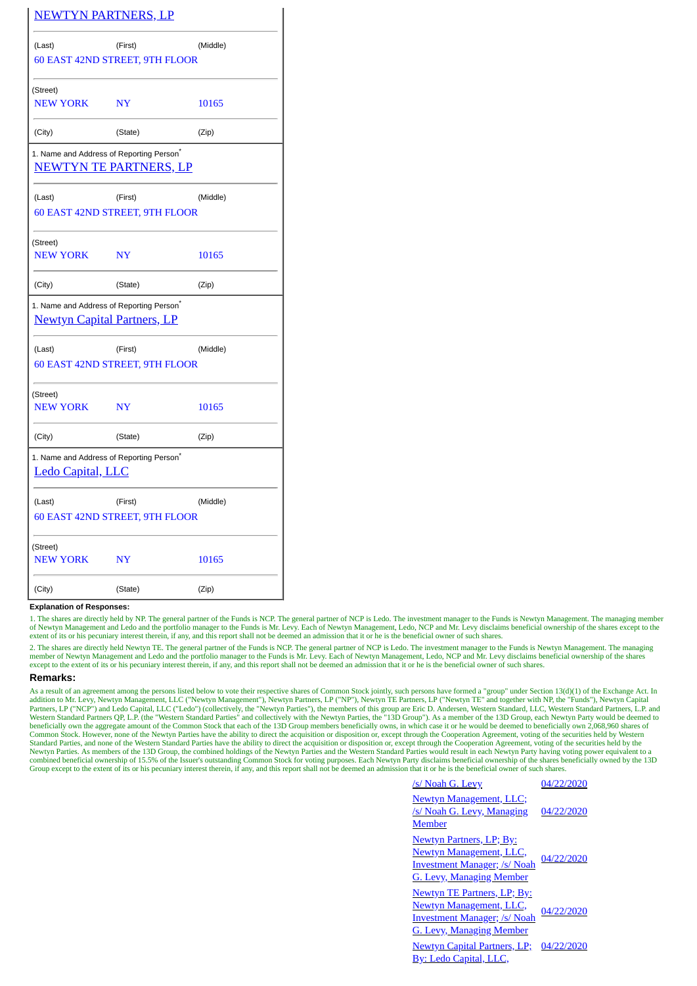| <b>NEWTYN PARTNERS, LP</b>                                                                 |           |          |  |
|--------------------------------------------------------------------------------------------|-----------|----------|--|
| (Last)                                                                                     | (First)   | (Middle) |  |
| 60 EAST 42ND STREET, 9TH FLOOR                                                             |           |          |  |
| (Street)                                                                                   |           |          |  |
| <b>NEW YORK</b>                                                                            | <b>NY</b> | 10165    |  |
| (City)                                                                                     | (State)   | (Zip)    |  |
| 1. Name and Address of Reporting Person <sup>*</sup><br><b>NEWTYN TE PARTNERS, LP</b>      |           |          |  |
| (Last)                                                                                     | (First)   | (Middle) |  |
| 60 EAST 42ND STREET, 9TH FLOOR                                                             |           |          |  |
| (Street)<br><b>NEW YORK</b>                                                                | <b>NY</b> | 10165    |  |
| (City)                                                                                     | (State)   | (Zip)    |  |
| 1. Name and Address of Reporting Person <sup>*</sup><br><b>Newtyn Capital Partners, LP</b> |           |          |  |
| (Last)                                                                                     | (First)   | (Middle) |  |
| 60 EAST 42ND STREET, 9TH FLOOR                                                             |           |          |  |
| (Street)                                                                                   |           |          |  |
| <b>NEW YORK</b>                                                                            | <b>NY</b> | 10165    |  |
| (City)                                                                                     | (State)   | (Zip)    |  |
| 1. Name and Address of Reporting Person <sup>®</sup><br>Ledo Capital, LLC                  |           |          |  |
| (Last)                                                                                     | (First)   | (Middle) |  |
| 60 EAST 42ND STREET, 9TH FLOOR                                                             |           |          |  |
| (Street)                                                                                   |           |          |  |
| <b>NEW YORK</b>                                                                            | <b>NY</b> | 10165    |  |
| (City)                                                                                     | (State)   | (Zip)    |  |

## **Explanation of Responses:**

1. The shares are directly held by NP. The general partner of the Funds is NCP. The general partner of NCP is Ledo. The investment manager to the Funds is Newtyn Management. The managing member of Newtyn Management and Ledo and the portfolio manager to the Funds is Mr. Levy. Each of Newtyn Management, Ledo, NCP and Mr. Levy disclaims beneficial ownership of the shares except to the extent of its or his pecuniary interest therein, if any, and this report shall not be deemed an admission that it or he is the beneficial owner of such shares.

2. The shares are directly held Newtyn TE. The general partner of the Funds is NCP. The general partner of NCP is Ledo. The investment manager to the Funds is Newtyn Management. The managing member of Newtyn Management and Ledo and the portfolio manager to the Funds is Mr. Levy. Each of Newtyn Management, Ledo, NCP and Mr. Levy disclaims beneficial ownership of the shares<br>except to the extent of its or his pec

## **Remarks:**

As a result of an agreement among the persons listed below to vote their respective shares of Common Stock jointly, such persons have formed a "group" under Section 13(d)(1) of the Exchange Act. In addition to Mr. Levy, Ne Common Stock. However, none of the Newtyn Parties have the ability to direct the acquisition or disposition or, except through the Cooperation Agreement, voting of the securities held by Western<br>Standard Parties, and none Newtyn Parties. As members of the 13D Group, the combined holdings of the Newtyn Parties and the Western Standard Parties would result in each Newtyn Party having voting power equivalent to a combined beneficial ownership of 15.5% of the Issuer's outstanding Common Stock for voting purposes. Each Newtyn Party disclaims beneficial ownership of the shares beneficially owned by the 13D<br>Group except to the extent o

| /s/ Noah G. Levy                                                                                                                            | 04/22/2020 |
|---------------------------------------------------------------------------------------------------------------------------------------------|------------|
| <b>Newtyn Management, LLC;</b><br>/s/ Noah G. Levy, Managing<br><b>Member</b>                                                               | 04/22/2020 |
| <b>Newtyn Partners, LP; By:</b><br><b>Newtyn Management, LLC,</b><br><b>Investment Manager; /s/ Noah</b><br><u>G. Levy, Managing Member</u> | 04/22/2020 |
| <b>Newtyn TE Partners, LP; By:</b><br><b>Newtyn Management, LLC,</b><br><b>Investment Manager; /s/ Noah</b><br>G. Levy, Managing Member     | 04/22/2020 |
| <b>Newtyn Capital Partners, LP;</b><br><u>By: Ledo Capital, LLC,</u>                                                                        | 04/22/2020 |